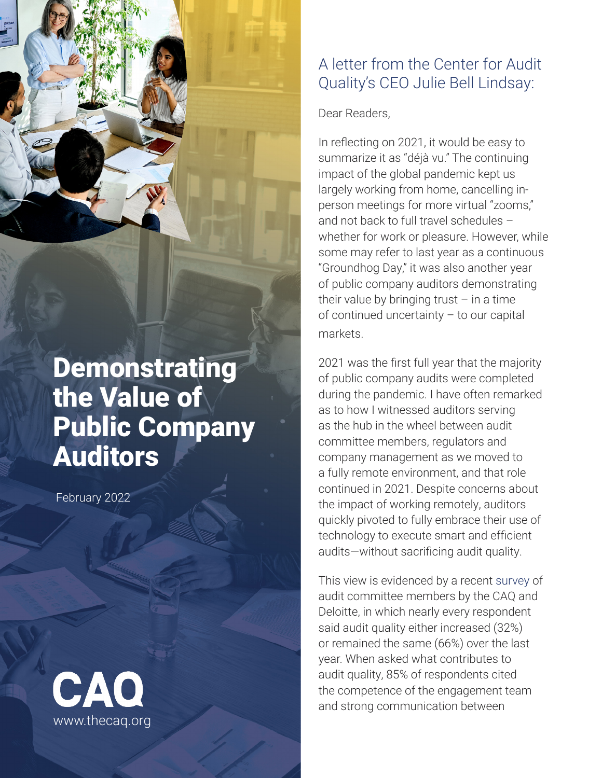## **Demonstrating** the Value of Public Company Auditors

February 2022



### A letter from the Center for Audit Quality's CEO Julie Bell Lindsay:

Dear Readers,

In reflecting on 2021, it would be easy to summarize it as "déjà vu." The continuing impact of the global pandemic kept us largely working from home, cancelling inperson meetings for more virtual "zooms," and not back to full travel schedules – whether for work or pleasure. However, while some may refer to last year as a continuous "Groundhog Day," it was also another year of public company auditors demonstrating their value by bringing trust  $-$  in a time of continued uncertainty – to our capital markets.

2021 was the first full year that the majority of public company audits were completed during the pandemic. I have often remarked as to how I witnessed auditors serving as the hub in the wheel between audit committee members, regulators and company management as we moved to a fully remote environment, and that role continued in 2021. Despite concerns about the impact of working remotely, auditors quickly pivoted to fully embrace their use of technology to execute smart and efficient audits—without sacrificing audit quality.

This view is evidenced by a recent [survey](https://www.thecaq.org/2022-ac-practices-report/) of audit committee members by the CAQ and Deloitte, in which nearly every respondent said audit quality either increased (32%) or remained the same (66%) over the last year. When asked what contributes to audit quality, 85% of respondents cited the competence of the engagement team and strong communication between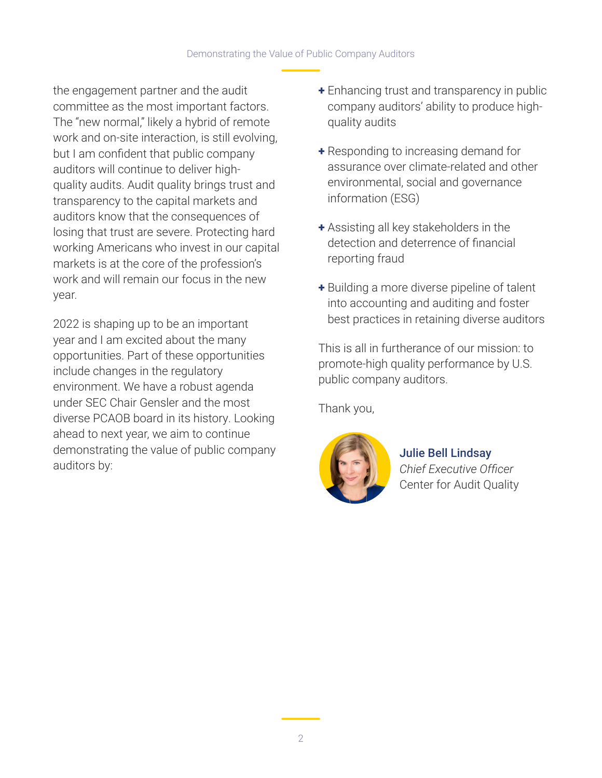the engagement partner and the audit committee as the most important factors. The "new normal," likely a hybrid of remote work and on-site interaction, is still evolving, but I am confident that public company auditors will continue to deliver highquality audits. Audit quality brings trust and transparency to the capital markets and auditors know that the consequences of losing that trust are severe. Protecting hard working Americans who invest in our capital markets is at the core of the profession's work and will remain our focus in the new year.

2022 is shaping up to be an important year and I am excited about the many opportunities. Part of these opportunities include changes in the regulatory environment. We have a robust agenda under SEC Chair Gensler and the most diverse PCAOB board in its history. Looking ahead to next year, we aim to continue demonstrating the value of public company auditors by:

- + Enhancing trust and transparency in public company auditors' ability to produce highquality audits
- + Responding to increasing demand for assurance over climate-related and other environmental, social and governance information (ESG)
- + Assisting all key stakeholders in the detection and deterrence of financial reporting fraud
- + Building a more diverse pipeline of talent into accounting and auditing and foster best practices in retaining diverse auditors

This is all in furtherance of our mission: to promote-high quality performance by U.S. public company auditors.

Thank you,



Julie Bell Lindsay *Chief Executive Officer* Center for Audit Quality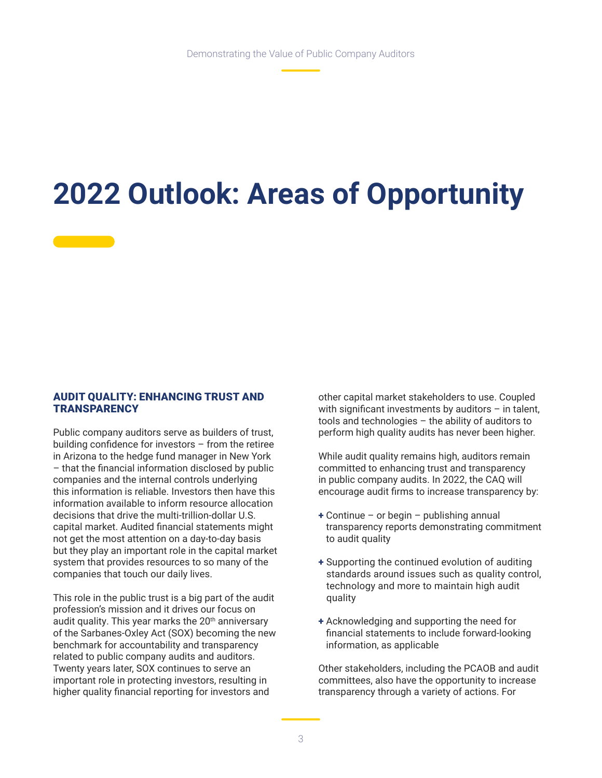# **2022 Outlook: Areas of Opportunity**

#### AUDIT QUALITY: ENHANCING TRUST AND **TRANSPARENCY**

Public company auditors serve as builders of trust, building confidence for investors – from the retiree in Arizona to the hedge fund manager in New York – that the financial information disclosed by public companies and the internal controls underlying this information is reliable. Investors then have this information available to inform resource allocation decisions that drive the multi-trillion-dollar U.S. capital market. Audited financial statements might not get the most attention on a day-to-day basis but they play an important role in the capital market system that provides resources to so many of the companies that touch our daily lives.

This role in the public trust is a big part of the audit profession's mission and it drives our focus on audit quality. This year marks the 20<sup>th</sup> anniversary of the Sarbanes-Oxley Act (SOX) becoming the new benchmark for accountability and transparency related to public company audits and auditors. Twenty years later, SOX continues to serve an important role in protecting investors, resulting in higher quality financial reporting for investors and

other capital market stakeholders to use. Coupled with significant investments by auditors  $-$  in talent, tools and technologies – the ability of auditors to perform high quality audits has never been higher.

While audit quality remains high, auditors remain committed to enhancing trust and transparency in public company audits. In 2022, the CAQ will encourage audit firms to increase transparency by:

- $+$  Continue or begin publishing annual transparency reports demonstrating commitment to audit quality
- + Supporting the continued evolution of auditing standards around issues such as quality control, technology and more to maintain high audit quality
- + Acknowledging and supporting the need for financial statements to include forward-looking information, as applicable

Other stakeholders, including the PCAOB and audit committees, also have the opportunity to increase transparency through a variety of actions. For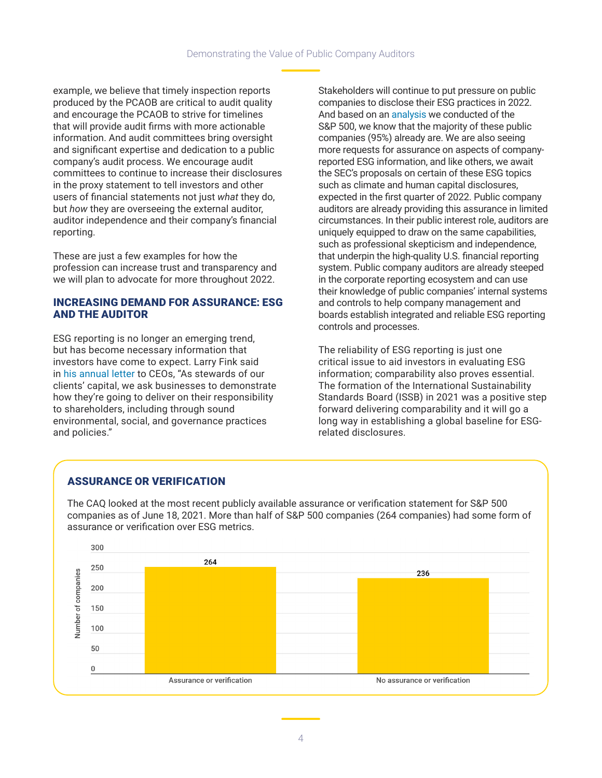example, we believe that timely inspection reports produced by the PCAOB are critical to audit quality and encourage the PCAOB to strive for timelines that will provide audit firms with more actionable information. And audit committees bring oversight and significant expertise and dedication to a public company's audit process. We encourage audit committees to continue to increase their disclosures in the proxy statement to tell investors and other users of financial statements not just *what* they do, but *how* they are overseeing the external auditor, auditor independence and their company's financial reporting.

These are just a few examples for how the profession can increase trust and transparency and we will plan to advocate for more throughout 2022.

#### INCREASING DEMAND FOR ASSURANCE: ESG AND THE AUDITOR

ESG reporting is no longer an emerging trend, but has become necessary information that investors have come to expect. Larry Fink said in [his annual letter](https://www.blackrock.com/corporate/investor-relations/larry-fink-ceo-letter) to CEOs, "As stewards of our clients' capital, we ask businesses to demonstrate how they're going to deliver on their responsibility to shareholders, including through sound environmental, social, and governance practices and policies."

Stakeholders will continue to put pressure on public companies to disclose their ESG practices in 2022. And based on an [analysis](https://www.thecaq.org/sp-500-and-esg-reporting/) we conducted of the S&P 500, we know that the majority of these public companies (95%) already are. We are also seeing more requests for assurance on aspects of companyreported ESG information, and like others, we await the SEC's proposals on certain of these ESG topics such as climate and human capital disclosures, expected in the first quarter of 2022. Public company auditors are already providing this assurance in limited circumstances. In their public interest role, auditors are uniquely equipped to draw on the same capabilities, such as professional skepticism and independence, that underpin the high-quality U.S. financial reporting system. Public company auditors are already steeped in the corporate reporting ecosystem and can use their knowledge of public companies' internal systems and controls to help company management and boards establish integrated and reliable ESG reporting controls and processes.

The reliability of ESG reporting is just one critical issue to aid investors in evaluating ESG information; comparability also proves essential. The formation of the International Sustainability Standards Board (ISSB) in 2021 was a positive step forward delivering comparability and it will go a long way in establishing a global baseline for ESGrelated disclosures.

#### ASSURANCE OR VERIFICATION

The CAQ looked at the most recent publicly available assurance or verification statement for S&P 500 companies as of June 18, 2021. More than half of S&P 500 companies (264 companies) had some form of assurance or verification over ESG metrics.